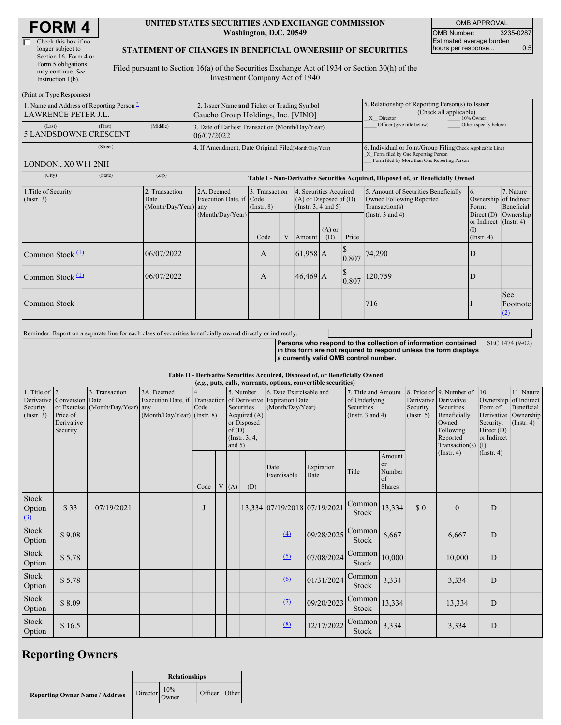| Check this box if no  |
|-----------------------|
| longer subject to     |
| Section 16. Form 4 or |
| Form 5 obligations    |
| may continue. See     |
| Instruction 1(b).     |
|                       |

 $(D_{\text{wint on}} T_{\text{true}})$ 

#### **UNITED STATES SECURITIES AND EXCHANGE COMMISSION Washington, D.C. 20549**

OMB APPROVAL OMB Number: 3235-0287 Estimated average burden hours per response... 0.5

### **STATEMENT OF CHANGES IN BENEFICIAL OWNERSHIP OF SECURITIES**

Filed pursuant to Section 16(a) of the Securities Exchange Act of 1934 or Section 30(h) of the Investment Company Act of 1940

| 1. Name and Address of Reporting Person-<br><b>LAWRENCE PETER J.L.</b> | 2. Issuer Name and Ticker or Trading Symbol<br>Gaucho Group Holdings, Inc. [VINO] |                                                                                  |                                   |   |                                                                                  |                 | 5. Relationship of Reporting Person(s) to Issuer<br>(Check all applicable)<br>X Director<br>10% Owner |                                                                                                                                                    |                                                            |                         |
|------------------------------------------------------------------------|-----------------------------------------------------------------------------------|----------------------------------------------------------------------------------|-----------------------------------|---|----------------------------------------------------------------------------------|-----------------|-------------------------------------------------------------------------------------------------------|----------------------------------------------------------------------------------------------------------------------------------------------------|------------------------------------------------------------|-------------------------|
| (First)<br>(Last)<br><b>5 LANDSDOWNE CRESCENT</b>                      | (Middle)                                                                          | 3. Date of Earliest Transaction (Month/Day/Year)<br>06/07/2022                   |                                   |   |                                                                                  |                 | Officer (give title below)                                                                            | Other (specify below)                                                                                                                              |                                                            |                         |
| (Street)<br>LONDON., X0 W11 2NH                                        |                                                                                   | 4. If Amendment, Date Original Filed(Month/Day/Year)                             |                                   |   |                                                                                  |                 |                                                                                                       | 6. Individual or Joint/Group Filing(Check Applicable Line)<br>X Form filed by One Reporting Person<br>Form filed by More than One Reporting Person |                                                            |                         |
| (City)<br>(State)                                                      | (Zip)                                                                             | Table I - Non-Derivative Securities Acquired, Disposed of, or Beneficially Owned |                                   |   |                                                                                  |                 |                                                                                                       |                                                                                                                                                    |                                                            |                         |
| 1. Title of Security<br>(Insert. 3)                                    | 2. Transaction<br>Date<br>(Month/Day/Year) any                                    | 2A. Deemed<br>Execution Date, if Code                                            | 3. Transaction<br>$($ Instr. $8)$ |   | 4. Securities Acquired<br>$(A)$ or Disposed of $(D)$<br>(Instr. $3, 4$ and $5$ ) |                 |                                                                                                       | 5. Amount of Securities Beneficially<br>Owned Following Reported<br>Transaction(s)                                                                 | 6.<br>Ownership of Indirect<br>Form:                       | 7. Nature<br>Beneficial |
|                                                                        |                                                                                   | (Month/Day/Year)                                                                 | Code                              | V | Amount                                                                           | $(A)$ or<br>(D) | Price                                                                                                 | (Instr. $3$ and $4$ )                                                                                                                              | Direct (D)<br>or Indirect (Instr. 4)<br>(1)<br>(Insert. 4) | Ownership               |
| Common Stock $(1)$                                                     | 06/07/2022                                                                        |                                                                                  | A                                 |   | $61,958$ A                                                                       |                 | 0.807                                                                                                 | 74,290                                                                                                                                             | D                                                          |                         |
| Common Stock $(1)$                                                     | 06/07/2022                                                                        |                                                                                  | A                                 |   | $46,469$ A                                                                       |                 | 0.807                                                                                                 | 120,759                                                                                                                                            | D                                                          |                         |
| Common Stock                                                           |                                                                                   |                                                                                  |                                   |   |                                                                                  |                 |                                                                                                       | 716                                                                                                                                                |                                                            | See<br>Footnote<br>(2)  |

Reminder: Report on a separate line for each class of securities beneficially owned directly or indirectly.

**Persons who respond to the collection of information contained in this form are not required to respond unless the form displays a currently valid OMB control number.** SEC 1474 (9-02)

#### **Table II - Derivative Securities Acquired, Disposed of, or Beneficially Owned**

|                                                   | (e.g., puts, calls, warrants, options, convertible securities)   |                                                |                                                                                                                  |      |  |                                                                                                |     |                                             |                    |                                                                             |                                                      |                                                  |                                                                                                                  |                                                                                     |                                                                      |
|---------------------------------------------------|------------------------------------------------------------------|------------------------------------------------|------------------------------------------------------------------------------------------------------------------|------|--|------------------------------------------------------------------------------------------------|-----|---------------------------------------------|--------------------|-----------------------------------------------------------------------------|------------------------------------------------------|--------------------------------------------------|------------------------------------------------------------------------------------------------------------------|-------------------------------------------------------------------------------------|----------------------------------------------------------------------|
| 1. Title of $\vert$ 2.<br>Security<br>(Insert. 3) | Derivative Conversion Date<br>Price of<br>Derivative<br>Security | 3. Transaction<br>or Exercise (Month/Day/Year) | 3A. Deemed<br>Execution Date, if Transaction of Derivative Expiration Date<br>any<br>(Month/Day/Year) (Instr. 8) | Code |  | 5. Number<br>Securities<br>Acquired (A)<br>or Disposed<br>of(D)<br>(Instr. $3, 4,$<br>and $5)$ |     | 6. Date Exercisable and<br>(Month/Day/Year) |                    | 7. Title and Amount<br>of Underlying<br>Securities<br>(Instr. $3$ and $4$ ) |                                                      | Derivative Derivative<br>Security<br>(Insert. 5) | 8. Price of 9. Number of<br>Securities<br>Beneficially<br>Owned<br>Following<br>Reported<br>Transaction(s) $(I)$ | 10.<br>Ownership of Indirect<br>Form of<br>Security:<br>Direct $(D)$<br>or Indirect | 11. Nature<br>Beneficial<br>Derivative Ownership<br>$($ Instr. 4 $)$ |
|                                                   |                                                                  |                                                |                                                                                                                  | Code |  | V(A)                                                                                           | (D) | Date<br>Exercisable                         | Expiration<br>Date | Title                                                                       | Amount<br><b>or</b><br>Number<br>of<br><b>Shares</b> |                                                  | $($ Instr. 4 $)$                                                                                                 | $($ Instr. 4 $)$                                                                    |                                                                      |
| Stock<br>Option<br>(3)                            | \$33                                                             | 07/19/2021                                     |                                                                                                                  | J    |  |                                                                                                |     | 13,334 07/19/2018 07/19/2021                |                    | Common<br>Stock                                                             | 13,334                                               | $\Omega$                                         | $\mathbf{0}$                                                                                                     | D                                                                                   |                                                                      |
| Stock<br>Option                                   | \$9.08                                                           |                                                |                                                                                                                  |      |  |                                                                                                |     | $\Delta$                                    | 09/28/2025         | Common<br>Stock                                                             | 6,667                                                |                                                  | 6,667                                                                                                            | D                                                                                   |                                                                      |
| Stock<br>Option                                   | \$5.78                                                           |                                                |                                                                                                                  |      |  |                                                                                                |     | (5)                                         | 07/08/2024         | $\text{Common}$ 10,000<br><b>Stock</b>                                      |                                                      |                                                  | 10,000                                                                                                           | D                                                                                   |                                                                      |
| Stock<br>Option                                   | \$5.78                                                           |                                                |                                                                                                                  |      |  |                                                                                                |     | 6                                           | 01/31/2024         | Common<br><b>Stock</b>                                                      | 3,334                                                |                                                  | 3,334                                                                                                            | D                                                                                   |                                                                      |
| Stock<br>Option                                   | \$8.09                                                           |                                                |                                                                                                                  |      |  |                                                                                                |     | (7)                                         | 09/20/2023         | Common<br>Stock                                                             | 13,334                                               |                                                  | 13,334                                                                                                           | D                                                                                   |                                                                      |
| Stock<br>Option                                   | \$16.5                                                           |                                                |                                                                                                                  |      |  |                                                                                                |     | (8)                                         | 12/17/2022         | Common<br>Stock                                                             | 3,334                                                |                                                  | 3,334                                                                                                            | D                                                                                   |                                                                      |

## **Reporting Owners**

|                                       | <b>Relationships</b>               |              |               |  |  |  |  |
|---------------------------------------|------------------------------------|--------------|---------------|--|--|--|--|
| <b>Reporting Owner Name / Address</b> | $\blacksquare$ Director $\bigcirc$ | 10%<br>Owner | Officer Other |  |  |  |  |
|                                       |                                    |              |               |  |  |  |  |